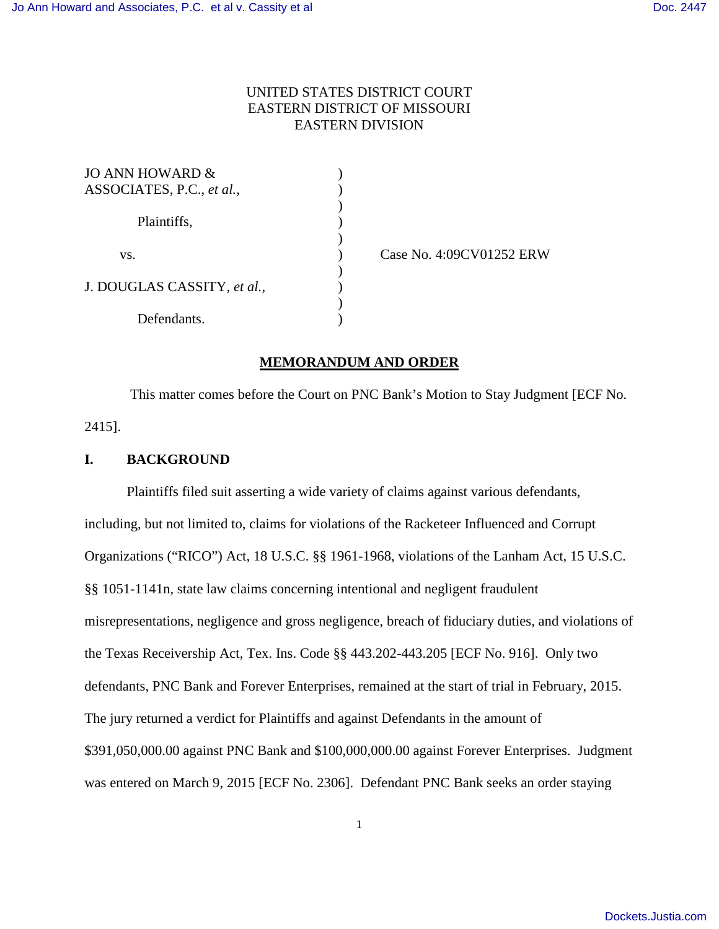# UNITED STATES DISTRICT COURT EASTERN DISTRICT OF MISSOURI EASTERN DIVISION

| JO ANN HOWARD &             |  |
|-----------------------------|--|
| ASSOCIATES, P.C., et al.,   |  |
|                             |  |
| Plaintiffs,                 |  |
|                             |  |
| VS.                         |  |
|                             |  |
| J. DOUGLAS CASSITY, et al., |  |
|                             |  |
| Defendants.                 |  |

Case No. 4:09CV01252 ERW

### **MEMORANDUM AND ORDER**

 This matter comes before the Court on PNC Bank's Motion to Stay Judgment [ECF No. 2415].

### **I. BACKGROUND**

Plaintiffs filed suit asserting a wide variety of claims against various defendants, including, but not limited to, claims for violations of the Racketeer Influenced and Corrupt Organizations ("RICO") Act, 18 U.S.C. §§ 1961-1968, violations of the Lanham Act, 15 U.S.C. §§ 1051-1141n, state law claims concerning intentional and negligent fraudulent misrepresentations, negligence and gross negligence, breach of fiduciary duties, and violations of the Texas Receivership Act, Tex. Ins. Code §§ 443.202-443.205 [ECF No. 916]. Only two defendants, PNC Bank and Forever Enterprises, remained at the start of trial in February, 2015. The jury returned a verdict for Plaintiffs and against Defendants in the amount of \$391,050,000.00 against PNC Bank and \$100,000,000.00 against Forever Enterprises. Judgment was entered on March 9, 2015 [ECF No. 2306]. Defendant PNC Bank seeks an order staying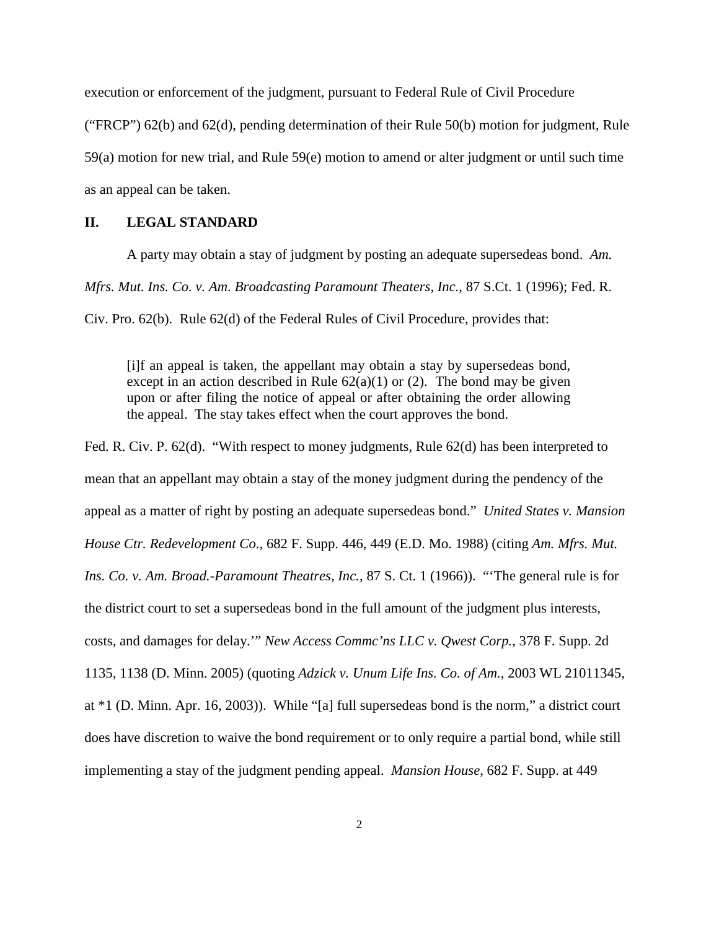execution or enforcement of the judgment, pursuant to Federal Rule of Civil Procedure

("FRCP") 62(b) and 62(d), pending determination of their Rule 50(b) motion for judgment, Rule

59(a) motion for new trial, and Rule 59(e) motion to amend or alter judgment or until such time

as an appeal can be taken.

# **II. LEGAL STANDARD**

A party may obtain a stay of judgment by posting an adequate supersedeas bond. *Am.* 

*Mfrs. Mut. Ins. Co. v. Am. Broadcasting Paramount Theaters, Inc.*, 87 S.Ct. 1 (1996); Fed. R.

Civ. Pro. 62(b). Rule 62(d) of the Federal Rules of Civil Procedure, provides that:

[i]f an appeal is taken, the appellant may obtain a stay by supersedeas bond, except in an action described in Rule  $62(a)(1)$  or (2). The bond may be given upon or after filing the notice of appeal or after obtaining the order allowing the appeal. The stay takes effect when the court approves the bond.

Fed. R. Civ. P. 62(d). "With respect to money judgments, Rule 62(d) has been interpreted to mean that an appellant may obtain a stay of the money judgment during the pendency of the appeal as a matter of right by posting an adequate supersedeas bond." *United States v. Mansion House Ctr. Redevelopment Co*., 682 F. Supp. 446, 449 (E.D. Mo. 1988) (citing *Am. Mfrs. Mut. Ins. Co. v. Am. Broad.-Paramount Theatres, Inc.*, 87 S. Ct. 1 (1966)). "'The general rule is for the district court to set a supersedeas bond in the full amount of the judgment plus interests, costs, and damages for delay.'" *New Access Commc'ns LLC v. Qwest Corp.*, 378 F. Supp. 2d 1135, 1138 (D. Minn. 2005) (quoting *Adzick v. Unum Life Ins. Co. of Am.*, 2003 WL 21011345, at \*1 (D. Minn. Apr. 16, 2003)). While "[a] full supersedeas bond is the norm," a district court does have discretion to waive the bond requirement or to only require a partial bond, while still implementing a stay of the judgment pending appeal. *Mansion House*, 682 F. Supp. at 449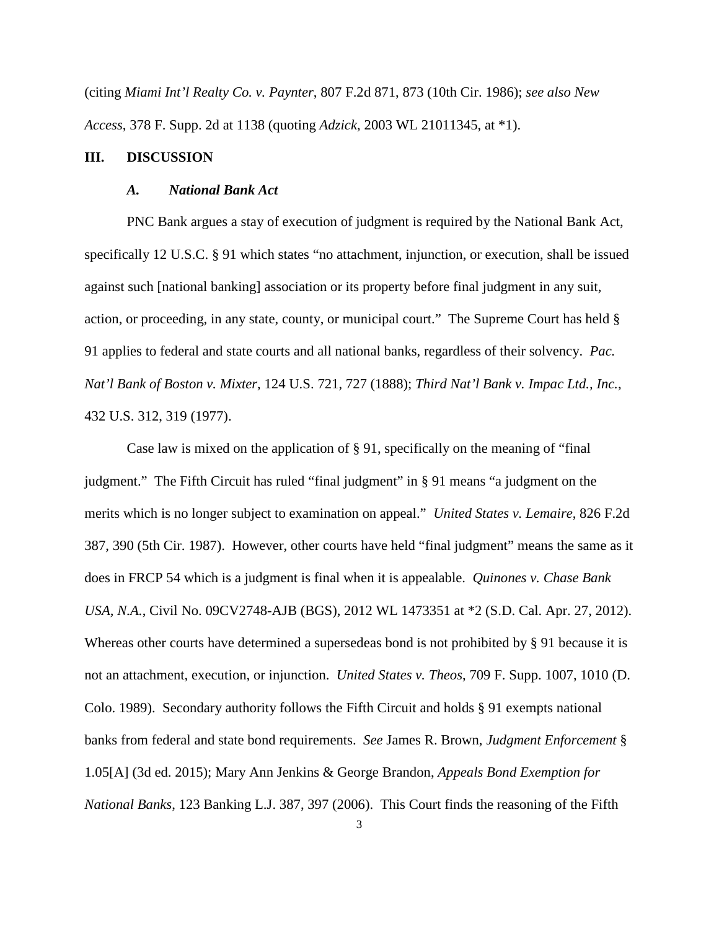(citing *Miami Int'l Realty Co. v. Paynter*, 807 F.2d 871, 873 (10th Cir. 1986); *see also New Access*, 378 F. Supp. 2d at 1138 (quoting *Adzick*, 2003 WL 21011345, at \*1).

### **III. DISCUSSION**

### *A. National Bank Act*

PNC Bank argues a stay of execution of judgment is required by the National Bank Act, specifically 12 U.S.C. § 91 which states "no attachment, injunction, or execution, shall be issued against such [national banking] association or its property before final judgment in any suit, action, or proceeding, in any state, county, or municipal court." The Supreme Court has held § 91 applies to federal and state courts and all national banks, regardless of their solvency. *Pac. Nat'l Bank of Boston v. Mixter*, 124 U.S. 721, 727 (1888); *Third Nat'l Bank v. Impac Ltd., Inc.*, 432 U.S. 312, 319 (1977).

Case law is mixed on the application of § 91, specifically on the meaning of "final judgment." The Fifth Circuit has ruled "final judgment" in § 91 means "a judgment on the merits which is no longer subject to examination on appeal." *United States v. Lemaire*, 826 F.2d 387, 390 (5th Cir. 1987). However, other courts have held "final judgment" means the same as it does in FRCP 54 which is a judgment is final when it is appealable. *Quinones v. Chase Bank USA, N.A.*, Civil No. 09CV2748-AJB (BGS), 2012 WL 1473351 at \*2 (S.D. Cal. Apr. 27, 2012). Whereas other courts have determined a supersedeas bond is not prohibited by § 91 because it is not an attachment, execution, or injunction. *United States v. Theos*, 709 F. Supp. 1007, 1010 (D. Colo. 1989). Secondary authority follows the Fifth Circuit and holds § 91 exempts national banks from federal and state bond requirements. *See* James R. Brown, *Judgment Enforcement* § 1.05[A] (3d ed. 2015); Mary Ann Jenkins & George Brandon, *Appeals Bond Exemption for National Banks*, 123 Banking L.J. 387, 397 (2006). This Court finds the reasoning of the Fifth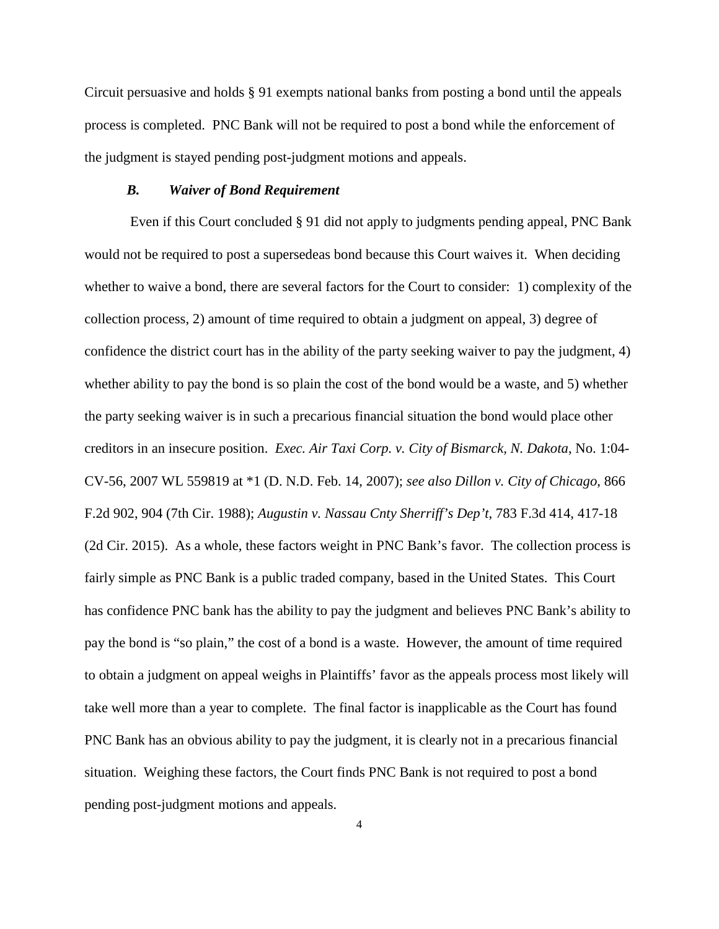Circuit persuasive and holds § 91 exempts national banks from posting a bond until the appeals process is completed. PNC Bank will not be required to post a bond while the enforcement of the judgment is stayed pending post-judgment motions and appeals.

### *B. Waiver of Bond Requirement*

 Even if this Court concluded § 91 did not apply to judgments pending appeal, PNC Bank would not be required to post a supersedeas bond because this Court waives it. When deciding whether to waive a bond, there are several factors for the Court to consider: 1) complexity of the collection process, 2) amount of time required to obtain a judgment on appeal, 3) degree of confidence the district court has in the ability of the party seeking waiver to pay the judgment, 4) whether ability to pay the bond is so plain the cost of the bond would be a waste, and 5) whether the party seeking waiver is in such a precarious financial situation the bond would place other creditors in an insecure position. *Exec. Air Taxi Corp. v. City of Bismarck, N. Dakota*, No. 1:04- CV-56, 2007 WL 559819 at \*1 (D. N.D. Feb. 14, 2007); *see also Dillon v. City of Chicago*, 866 F.2d 902, 904 (7th Cir. 1988); *Augustin v. Nassau Cnty Sherriff's Dep't*, 783 F.3d 414, 417-18 (2d Cir. 2015). As a whole, these factors weight in PNC Bank's favor. The collection process is fairly simple as PNC Bank is a public traded company, based in the United States. This Court has confidence PNC bank has the ability to pay the judgment and believes PNC Bank's ability to pay the bond is "so plain," the cost of a bond is a waste. However, the amount of time required to obtain a judgment on appeal weighs in Plaintiffs' favor as the appeals process most likely will take well more than a year to complete. The final factor is inapplicable as the Court has found PNC Bank has an obvious ability to pay the judgment, it is clearly not in a precarious financial situation. Weighing these factors, the Court finds PNC Bank is not required to post a bond pending post-judgment motions and appeals.